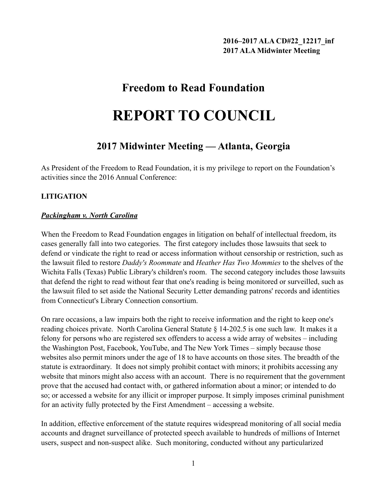# **Freedom to Read Foundation**

# **REPORT TO COUNCIL**

## **2017 Midwinter Meeting — Atlanta, Georgia**

As President of the Freedom to Read Foundation, it is my privilege to report on the Foundation's activities since the 2016 Annual Conference:

## **LITIGATION**

### *Packingham v. North Carolina*

When the Freedom to Read Foundation engages in litigation on behalf of intellectual freedom, its cases generally fall into two categories. The first category includes those lawsuits that seek to defend or vindicate the right to read or access information without censorship or restriction, such as the lawsuit filed to restore *Daddy's Roommate* and *Heather Has Two Mommies* to the shelves of the Wichita Falls (Texas) Public Library's children's room. The second category includes those lawsuits that defend the right to read without fear that one's reading is being monitored or surveilled, such as the lawsuit filed to set aside the National Security Letter demanding patrons' records and identities from Connecticut's Library Connection consortium.

On rare occasions, a law impairs both the right to receive information and the right to keep one's reading choices private. North Carolina General Statute § 14-202.5 is one such law. It makes it a felony for persons who are registered sex offenders to access a wide array of websites – including the Washington Post, Facebook, YouTube, and The New York Times – simply because those websites also permit minors under the age of 18 to have accounts on those sites. The breadth of the statute is extraordinary. It does not simply prohibit contact with minors; it prohibits accessing any website that minors might also access with an account. There is no requirement that the government prove that the accused had contact with, or gathered information about a minor; or intended to do so; or accessed a website for any illicit or improper purpose. It simply imposes criminal punishment for an activity fully protected by the First Amendment – accessing a website.

In addition, effective enforcement of the statute requires widespread monitoring of all social media accounts and dragnet surveillance of protected speech available to hundreds of millions of Internet users, suspect and non-suspect alike. Such monitoring, conducted without any particularized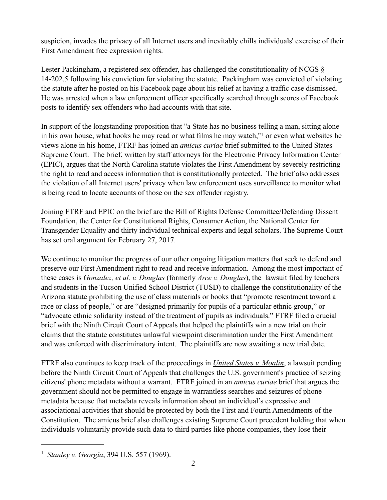suspicion, invades the privacy of all Internet users and inevitably chills individuals' exercise of their First Amendment free expression rights.

Lester Packingham, a registered sex offender, has challenged the constitutionality of NCGS § 14-202.5 following his conviction for violating the statute. Packingham was convicted of violating the statute after he posted on his Facebook page about his relief at having a traffic case dismissed. He was arrested when a law enforcement officer specifically searched through scores of Facebook posts to identify sex offenders who had accounts with that site.

<span id="page-1-1"></span>In support of the longstanding proposition that "a State has no business telling a man, sitting alone in his own house, what books he may read or what films he may watch,["](#page-1-0)<sup>[1](#page-1-0)</sup> or even what websites he views alone in his home, FTRF has joined an *amicus curiae* brief submitted to the United States Supreme Court. The brief, written by staff attorneys for the Electronic Privacy Information Center (EPIC), argues that the North Carolina statute violates the First Amendment by severely restricting the right to read and access information that is constitutionally protected. The brief also addresses the violation of all Internet users' privacy when law enforcement uses surveillance to monitor what is being read to locate accounts of those on the sex offender registry.

Joining FTRF and EPIC on the brief are the Bill of Rights Defense Committee/Defending Dissent Foundation, the Center for Constitutional Rights, Consumer Action, the National Center for Transgender Equality and thirty individual technical experts and legal scholars. The Supreme Court has set oral argument for February 27, 2017.

We continue to monitor the progress of our other ongoing litigation matters that seek to defend and preserve our First Amendment right to read and receive information. Among the most important of these cases is *Gonzalez, et al. v. Douglas* (formerly *Arce v. Douglas*), the lawsuit filed by teachers and students in the Tucson Unified School District (TUSD) to challenge the constitutionality of the Arizona statute prohibiting the use of class materials or books that "promote resentment toward a race or class of people," or are "designed primarily for pupils of a particular ethnic group," or "advocate ethnic solidarity instead of the treatment of pupils as individuals." FTRF filed a crucial brief with the Ninth Circuit Court of Appeals that helped the plaintiffs win a new trial on their claims that the statute constitutes unlawful viewpoint discrimination under the First Amendment and was enforced with discriminatory intent. The plaintiffs are now awaiting a new trial date.

FTRF also continues to keep track of the proceedings in *United States v. Moalin*, a lawsuit pending before the Ninth Circuit Court of Appeals that challenges the U.S. government's practice of seizing citizens' phone metadata without a warrant. FTRF joined in an *amicus curiae* brief that argues the government should not be permitted to engage in warrantless searches and seizures of phone metadata because that metadata reveals information about an individual's expressive and associational activities that should be protected by both the First and Fourth Amendments of the Constitution. The amicus brief also challenges existing Supreme Court precedent holding that when individuals voluntarily provide such data to third parties like phone companies, they lose their

<span id="page-1-0"></span><sup>&</sup>lt;sup>[1](#page-1-1)</sup> Stanley v. Georgia, 394 U.S. 557 (1969).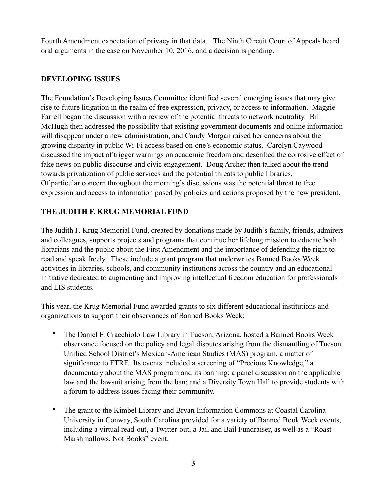Fourth Amendment expectation of privacy in that data. The Ninth Circuit Court of Appeals heard oral arguments in the case on November 10, 2016, and a decision is pending.

#### **DEVELOPING ISSUES**

The Foundation's Developing Issues Committee identified several emerging issues that may give rise to future litigation in the realm of free expression, privacy, or access to information. Maggie Farrell began the discussion with a review of the potential threats to network neutrality. Bill McHugh then addressed the possibility that existing government documents and online information will disappear under a new administration, and Candy Morgan raised her concerns about the growing disparity in public Wi-Fi access based on one's economic status. Carolyn Caywood discussed the impact of trigger warnings on academic freedom and described the corrosive effect of fake news on public discourse and civic engagement. Doug Archer then talked about the trend towards privatization of public services and the potential threats to public libraries. Of particular concern throughout the morning's discussions was the potential threat to free expression and access to information posed by policies and actions proposed by the new president.

#### **THE JUDITH F. KRUG MEMORIAL FUND**

The Judith F. Krug Memorial Fund, created by donations made by Judith's family, friends, admirers and colleagues, supports projects and programs that continue her lifelong mission to educate both librarians and the public about the First Amendment and the importance of defending the right to read and speak freely. These include a grant program that underwrites Banned Books Week activities in libraries, schools, and community institutions across the country and an educational initiative dedicated to augmenting and improving intellectual freedom education for professionals and LIS students.

This year, the Krug Memorial Fund awarded grants to six different educational institutions and organizations to support their observances of Banned Books Week:

- The Daniel F. Cracchiolo Law Library in Tucson, Arizona, hosted a Banned Books Week observance focused on the policy and legal disputes arising from the dismantling of Tucson Unified School District's Mexican-American Studies (MAS) program, a matter of significance to FTRF. Its events included a screening of "Precious Knowledge," a documentary about the MAS program and its banning; a panel discussion on the applicable law and the lawsuit arising from the ban; and a Diversity Town Hall to provide students with a forum to address issues facing their community.
- The grant to the Kimbel Library and Bryan Information Commons at Coastal Carolina University in Conway, South Carolina provided for a variety of Banned Book Week events, including a virtual read-out, a Twitter-out, a Jail and Bail Fundraiser, as well as a "Roast Marshmallows, Not Books" event.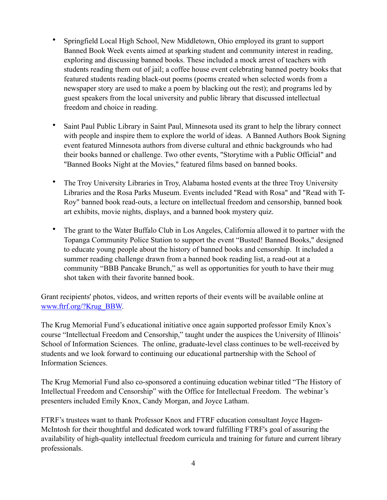- Springfield Local High School, New Middletown, Ohio employed its grant to support Banned Book Week events aimed at sparking student and community interest in reading, exploring and discussing banned books. These included a mock arrest of teachers with students reading them out of jail; a coffee house event celebrating banned poetry books that featured students reading black-out poems (poems created when selected words from a newspaper story are used to make a poem by blacking out the rest); and programs led by guest speakers from the local university and public library that discussed intellectual freedom and choice in reading.
- Saint Paul Public Library in Saint Paul, Minnesota used its grant to help the library connect with people and inspire them to explore the world of ideas. A Banned Authors Book Signing event featured Minnesota authors from diverse cultural and ethnic backgrounds who had their books banned or challenge. Two other events, "Storytime with a Public Official" and "Banned Books Night at the Movies," featured films based on banned books.
- The Troy University Libraries in Troy, Alabama hosted events at the three Troy University Libraries and the Rosa Parks Museum. Events included "Read with Rosa" and "Read with T-Roy" banned book read-outs, a lecture on intellectual freedom and censorship, banned book art exhibits, movie nights, displays, and a banned book mystery quiz.
- The grant to the Water Buffalo Club in Los Angeles, California allowed it to partner with the Topanga Community Police Station to support the event "Busted! Banned Books," designed to educate young people about the history of banned books and censorship. It included a summer reading challenge drawn from a banned book reading list, a read-out at a community "BBB Pancake Brunch," as well as opportunities for youth to have their mug shot taken with their favorite banned book.

Grant recipients' photos, videos, and written reports of their events will be available online at [www.ftrf.org/?Krug\\_BBW.](http://www.ftrf.org/?Krug_BBW)

The Krug Memorial Fund's educational initiative once again supported professor Emily Knox's course "Intellectual Freedom and Censorship," taught under the auspices the University of Illinois' School of Information Sciences. The online, graduate-level class continues to be well-received by students and we look forward to continuing our educational partnership with the School of Information Sciences.

The Krug Memorial Fund also co-sponsored a continuing education webinar titled "The History of Intellectual Freedom and Censorship" with the Office for Intellectual Freedom. The webinar's presenters included Emily Knox, Candy Morgan, and Joyce Latham.

FTRF's trustees want to thank Professor Knox and FTRF education consultant Joyce Hagen-McIntosh for their thoughtful and dedicated work toward fulfilling FTRF's goal of assuring the availability of high-quality intellectual freedom curricula and training for future and current library professionals.